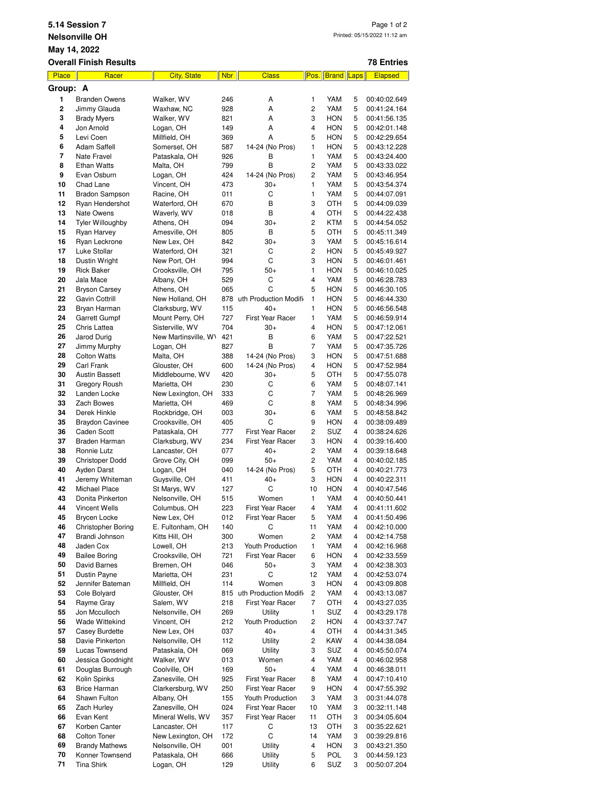| 5.14 Session 7<br>Page 1 of 2<br>Printed: 05/15/2022 11:12 am<br><b>Nelsonville OH</b><br>May 14, 2022 |                                     |                                         |            |                                      |                     |                          |                         |                              |  |
|--------------------------------------------------------------------------------------------------------|-------------------------------------|-----------------------------------------|------------|--------------------------------------|---------------------|--------------------------|-------------------------|------------------------------|--|
|                                                                                                        | <b>Overall Finish Results</b>       |                                         |            |                                      |                     |                          |                         | <b>78 Entries</b>            |  |
| <b>Place</b>                                                                                           | Racer                               | <b>City, State</b>                      | <b>Nbr</b> | <b>Class</b>                         | Pos.                | <b>Brand</b> Laps        |                         | <b>Elapsed</b>               |  |
| Group: A                                                                                               |                                     |                                         |            |                                      |                     |                          |                         |                              |  |
| 1                                                                                                      | <b>Branden Owens</b>                | Walker, WV                              | 246        | A                                    | 1                   | YAM                      | 5                       | 00:40:02.649                 |  |
| $\overline{\mathbf{c}}$<br>3                                                                           | Jimmy Glauda<br><b>Brady Myers</b>  | Waxhaw, NC<br>Walker, WV                | 928<br>821 | A<br>A                               | $\overline{2}$<br>3 | YAM<br><b>HON</b>        | 5<br>5                  | 00:41:24.164<br>00:41:56.135 |  |
| 4                                                                                                      | Jon Arnold                          | Logan, OH                               | 149        | A                                    | 4                   | <b>HON</b>               | 5                       | 00:42:01.148                 |  |
| 5                                                                                                      | Levi Coen                           | Millfield, OH                           | 369        | A                                    | 5                   | <b>HON</b>               | 5                       | 00:42:29.654                 |  |
| 6                                                                                                      | Adam Saffell                        | Somerset, OH                            | 587        | 14-24 (No Pros)                      | 1                   | <b>HON</b>               | 5                       | 00:43:12.228                 |  |
| 7                                                                                                      | Nate Fravel                         | Pataskala, OH                           | 926        | В                                    | 1                   | YAM                      | 5                       | 00:43:24.400                 |  |
| 8                                                                                                      | <b>Ethan Watts</b>                  | Malta, OH                               | 799        | B                                    | $\overline{c}$      | YAM                      | 5                       | 00:43:33.022                 |  |
| 9                                                                                                      | Evan Osburn                         | Logan, OH                               | 424        | 14-24 (No Pros)                      | 2                   | YAM                      | 5                       | 00:43:46.954                 |  |
| 10<br>11                                                                                               | Chad Lane<br><b>Bradon Sampson</b>  | Vincent, OH<br>Racine, OH               | 473<br>011 | $30+$<br>C                           | 1<br>1              | YAM<br>YAM               | 5<br>5                  | 00:43:54.374<br>00:44:07.091 |  |
| 12                                                                                                     | Ryan Hendershot                     | Waterford, OH                           | 670        | В                                    | 3                   | OTH                      | 5                       | 00:44:09.039                 |  |
| 13                                                                                                     | Nate Owens                          | Waverly, WV                             | 018        | B                                    | 4                   | OTH                      | 5                       | 00:44:22.438                 |  |
| 14                                                                                                     | <b>Tyler Willoughby</b>             | Athens, OH                              | 094        | $30+$                                | 2                   | <b>KTM</b>               | 5                       | 00:44:54.052                 |  |
| 15                                                                                                     | Ryan Harvey                         | Amesville, OH                           | 805        | В                                    | 5                   | OTH                      | 5                       | 00:45:11.349                 |  |
| 16                                                                                                     | Ryan Leckrone                       | New Lex, OH                             | 842        | $30+$                                | 3                   | YAM                      | 5                       | 00:45:16.614                 |  |
| 17<br>18                                                                                               | Luke Stollar                        | Waterford, OH                           | 321        | C<br>C                               | $\overline{c}$<br>3 | <b>HON</b>               | 5<br>5                  | 00:45:49.927                 |  |
| 19                                                                                                     | Dustin Wright<br><b>Rick Baker</b>  | New Port, OH<br>Crooksville, OH         | 994<br>795 | $50+$                                | 1                   | <b>HON</b><br><b>HON</b> | 5                       | 00:46:01.461<br>00:46:10.025 |  |
| 20                                                                                                     | Jala Mace                           | Albany, OH                              | 529        | С                                    | 4                   | YAM                      | 5                       | 00:46:28.783                 |  |
| 21                                                                                                     | <b>Bryson Carsey</b>                | Athens, OH                              | 065        | C                                    | 5                   | <b>HON</b>               | 5                       | 00:46:30.105                 |  |
| 22                                                                                                     | <b>Gavin Cottrill</b>               | New Holland, OH                         |            | 878 uth Production Modifi            | 1                   | <b>HON</b>               | 5                       | 00:46:44.330                 |  |
| 23                                                                                                     | Bryan Harman                        | Clarksburg, WV                          | 115        | $40+$                                | 1                   | <b>HON</b>               | 5                       | 00:46:56.548                 |  |
| 24                                                                                                     | Garrett Gumpf                       | Mount Perry, OH                         | 727        | <b>First Year Racer</b>              | 1                   | YAM                      | 5                       | 00:46:59.914                 |  |
| 25<br>26                                                                                               | Chris Lattea                        | Sisterville, WV<br>New Martinsville, W\ | 704<br>421 | $30+$<br>B                           | 4<br>6              | <b>HON</b><br>YAM        | 5<br>5                  | 00:47:12.061                 |  |
| 27                                                                                                     | Jarod Durig<br>Jimmy Murphy         | Logan, OH                               | 827        | B                                    | 7                   | YAM                      | 5                       | 00:47:22.521<br>00:47:35.726 |  |
| 28                                                                                                     | <b>Colton Watts</b>                 | Malta, OH                               | 388        | 14-24 (No Pros)                      | 3                   | <b>HON</b>               | 5                       | 00:47:51.688                 |  |
| 29                                                                                                     | Carl Frank                          | Glouster, OH                            | 600        | 14-24 (No Pros)                      | $\overline{4}$      | <b>HON</b>               | 5                       | 00:47:52.984                 |  |
| 30                                                                                                     | <b>Austin Bassett</b>               | Middlebourne, WV                        | 420        | $30+$                                | 5                   | OTH                      | 5                       | 00:47:55.078                 |  |
| 31                                                                                                     | Gregory Roush                       | Marietta, OH                            | 230        | С                                    | 6                   | YAM                      | 5                       | 00:48:07.141                 |  |
| 32                                                                                                     | Landen Locke                        | New Lexington, OH                       | 333        | C                                    | 7                   | YAM                      | 5                       | 00:48:26.969                 |  |
| 33<br>34                                                                                               | Zach Bowes<br>Derek Hinkle          | Marietta, OH<br>Rockbridge, OH          | 469<br>003 | C<br>$30+$                           | 8<br>6              | YAM<br>YAM               | 5<br>5                  | 00:48:34.996<br>00:48:58.842 |  |
| 35                                                                                                     | <b>Braydon Cavinee</b>              | Crooksville, OH                         | 405        | C                                    | 9                   | <b>HON</b>               | 4                       | 00:38:09.489                 |  |
| 36                                                                                                     | Caden Scott                         | Pataskala, OH                           | 777        | <b>First Year Racer</b>              | 2                   | SUZ                      | 4                       | 00:38:24.626                 |  |
| 37                                                                                                     | Braden Harman                       | Clarksburg, WV                          | 234        | <b>First Year Racer</b>              | 3                   | <b>HON</b>               | 4                       | 00:39:16.400                 |  |
| 38                                                                                                     | Ronnie Lutz                         | Lancaster, OH                           | 077        | $40+$                                | 2                   | YAM                      | 4                       | 00:39:18.648                 |  |
| 39                                                                                                     | Christoper Dodd                     | Grove City, OH                          | 099        | $50+$                                | 2                   | YAM                      | $\overline{\mathbf{4}}$ | 00:40:02.185                 |  |
| 40                                                                                                     | Ayden Darst                         | Logan, OH                               | 040        | 14-24 (No Pros)                      | 5                   | OTH                      | 4                       | 00:40:21.773                 |  |
| 41<br>42                                                                                               | Jeremy Whiteman<br>Michael Place    | Guysville, OH<br>St Marys, WV           | 411<br>127 | $40+$<br>С                           | 3<br>10             | <b>HON</b><br><b>HON</b> | 4<br>4                  | 00:40:22.311<br>00:40:47.546 |  |
| 43                                                                                                     | Donita Pinkerton                    | Nelsonville, OH                         | 515        | Women                                | 1                   | YAM                      | 4                       | 00:40:50.441                 |  |
| 44                                                                                                     | Vincent Wells                       | Columbus, OH                            | 223        | First Year Racer                     | 4                   | YAM                      | 4                       | 00:41:11.602                 |  |
| 45                                                                                                     | Brycen Locke                        | New Lex, OH                             | 012        | First Year Racer                     | 5                   | YAM                      | 4                       | 00:41:50.496                 |  |
| 46                                                                                                     | Christopher Boring                  | E. Fultonham, OH                        | 140        | С                                    | 11                  | YAM                      | 4                       | 00:42:10.000                 |  |
| 47                                                                                                     | Brandi Johnson                      | Kitts Hill, OH                          | 300        | Women                                | $\overline{c}$      | YAM                      | 4                       | 00:42:14.758                 |  |
| 48<br>49                                                                                               | Jaden Cox<br><b>Bailee Boring</b>   | Lowell, OH<br>Crooksville, OH           | 213<br>721 | Youth Production<br>First Year Racer | 1<br>6              | YAM<br><b>HON</b>        | 4<br>4                  | 00:42:16.968<br>00:42:33.559 |  |
| 50                                                                                                     | David Barnes                        | Bremen, OH                              | 046        | $50+$                                | 3                   | YAM                      | 4                       | 00:42:38.303                 |  |
| 51                                                                                                     | Dustin Payne                        | Marietta, OH                            | 231        | С                                    | 12                  | YAM                      | 4                       | 00:42:53.074                 |  |
| 52                                                                                                     | Jennifer Bateman                    | Millfield, OH                           | 114        | Women                                | 3                   | <b>HON</b>               | 4                       | 00:43:09.808                 |  |
| 53                                                                                                     | Cole Bolyard                        | Glouster, OH                            |            | 815 uth Production Modifi            | 2                   | YAM                      | 4                       | 00:43:13.087                 |  |
| 54                                                                                                     | Rayme Gray                          | Salem, WV                               | 218        | First Year Racer                     | 7                   | OTH                      | 4                       | 00:43:27.035                 |  |
| 55<br>56                                                                                               | Jon Mcculloch<br>Wade Wittekind     | Nelsonville, OH<br>Vincent, OH          | 269<br>212 | Utility<br>Youth Production          | 1<br>2              | SUZ<br><b>HON</b>        | 4<br>4                  | 00:43:29.178<br>00:43:37.747 |  |
| 57                                                                                                     | Casey Burdette                      | New Lex, OH                             | 037        | $40+$                                | $\overline{4}$      | OTH                      | 4                       | 00:44:31.345                 |  |
| 58                                                                                                     | Davie Pinkerton                     | Nelsonville, OH                         | 112        | Utility                              | 2                   | KAW                      | 4                       | 00:44:38.084                 |  |
| 59                                                                                                     | Lucas Townsend                      | Pataskala, OH                           | 069        | Utility                              | 3                   | SUZ                      | 4                       | 00:45:50.074                 |  |
| 60                                                                                                     | Jessica Goodnight                   | Walker, WV                              | 013        | Women                                | 4                   | YAM                      | 4                       | 00:46:02.958                 |  |
| 61                                                                                                     | Douglas Burrough                    | Coolville, OH                           | 169        | $50+$                                | 4                   | YAM                      | 4                       | 00:46:38.011                 |  |
| 62                                                                                                     | Kolin Spinks                        | Zanesville, OH                          | 925        | First Year Racer                     | 8                   | YAM                      | 4                       | 00:47:10.410                 |  |
| 63<br>64                                                                                               | <b>Brice Harman</b><br>Shawn Fulton | Clarkersburg, WV<br>Albany, OH          | 250<br>155 | First Year Racer<br>Youth Production | 9<br>3              | <b>HON</b><br>YAM        | 4<br>3                  | 00:47:55.392<br>00:31:44.078 |  |
| 65                                                                                                     | Zach Hurley                         | Zanesville, OH                          | 024        | First Year Racer                     | 10                  | YAM                      | 3                       | 00:32:11.148                 |  |
| 66                                                                                                     | Evan Kent                           | Mineral Wells, WV                       | 357        | First Year Racer                     | 11                  | OTH                      | 3                       | 00:34:05.604                 |  |
| 67                                                                                                     | Korben Canter                       | Lancaster, OH                           | 117        | С                                    | 13                  | OTH                      | 3                       | 00:35:22.621                 |  |
| 68                                                                                                     | Colton Toner                        | New Lexington, OH                       | 172        | C                                    | 14                  | YAM                      | 3                       | 00:39:29.816                 |  |

 Brandy Mathews Melsonville, OH 001 Utility 4 HON 3 00:43:21.350<br> **70** Konner Townsend Pataskala, OH 666 Utility 5 POL 3 00:44:59.123<br> **71** Tina Shirk Logan, OH 129 Utility 6 SUZ 3 00:50:07.204 Konner Townsend Pataskala, OH 666 Utility 5 POL 3 00:44:59.123 Tina Shirk Logan, OH 129 Utility 6 SUZ 3 00:50:07.204